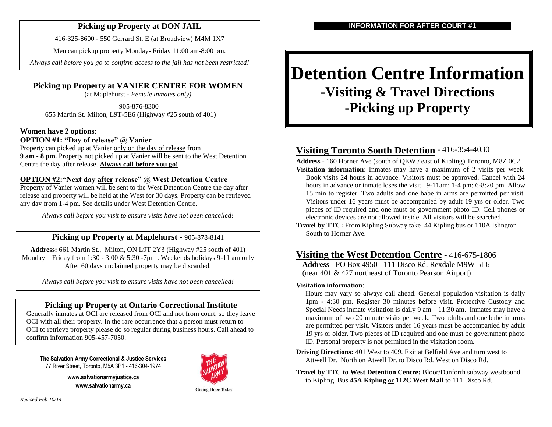### **Picking up Property at DON JAIL**

416-325-8600 - 550 Gerrard St. E (at Broadview) [M4M 1X7](http://maps.google.ca/maps?q=550+Gerrard+St.+E&rls=com.microsoft:en-us:IE-SearchBox&oe=UTF-8&rlz=1I7ADFA_en&redir_esc=&um=1&ie=UTF-8&hq=&hnear=0x89d4cb68840b9d09:0xf6adb3cd66d2d910,550+Gerrard+St+E,+Toronto,+ON+M4M+1X7&gl=ca&ei=xciATp6XE6nY0QH7w737Dw&sa=X&oi=geocode_result&ct=title&resnum=1&ved=0CCEQ8gEwAA)

Men can pickup property Monday- Friday 11:00 am-8:00 pm.

*Always call before you go to confirm access to the jail has not been restricted!*

**Picking up Property at VANIER CENTRE FOR WOMEN**

(at Maplehurst - *Female inmates only)*

905-876-8300 655 Martin St. Milton, L9T-5E6 (Highway #25 south of 401)

#### **Women have 2 options: OPTION #1: "Day of release" @ Vanier**

Property can picked up at Vanier only on the day of release from **9 am - 8 pm.** Property not picked up at Vanier will be sent to the West Detention Centre the day after release. **Always call before you go!**

### **OPTION #2:"Next day after release" @ West Detention Centre**

Property of Vanier women will be sent to the West Detention Centre the day after release and property will be held at the West for 30 days. Property can be retrieved any day from 1-4 pm. See details under West Detention Centre.

*Always call before you visit to ensure visits have not been cancelled!*

### **Picking up Property at Maplehurst -** 905-878-8141

**Address:** 661 Martin St., Milton, ON L9T 2Y3 (Highway #25 south of 401) Monday – Friday from 1:30 - 3:00  $&$  5:30 -7pm. Weekends holidays 9-11 am only After 60 days unclaimed property may be discarded.

*Always call before you visit to ensure visits have not been cancelled!*

### **Picking up Property at Ontario Correctional Institute**

Generally inmates at OCI are released from OCI and not from court, so they leave OCI with all their property. In the rare occurrence that a person must return to OCI to retrieve property please do so regular during business hours. Call ahead to confirm information 905-457-7050.

**The Salvation Army Correctional & Justice Services** 77 River Street, Toronto, M5A 3P1 - 416-304-1974

> **www.salvationarmyjustice.ca www.salvationarmy.ca**



**Giving Hope Today** 

# **Detention Centre Information -Visiting & Travel Directions -Picking up Property**

# **Visiting Toronto South Detention** - 416-354-4030

**Address** - 160 Horner Ave (south of QEW / east of Kipling) Toronto, M8Z 0C2 **Visitation information**: Inmates may have a maximum of 2 visits per week. Book visits 24 hours in advance. Visitors must be approved. Cancel with 24 hours in advance or inmate loses the visit. 9-11am; 1-4 pm; 6-8:20 pm. Allow 15 min to register. Two adults and one babe in arms are permitted per visit. Visitors under 16 years must be accompanied by adult 19 yrs or older. Two pieces of ID required and one must be government photo ID. Cell phones or electronic devices are not allowed inside. All visitors will be searched.

**Travel by TTC:** From Kipling Subway take 44 Kipling bus or 110A Islington South to Horner Ave.

# **Visiting the West Detention Centre** - 416-675-1806

**Address** - PO Box 4950 - 111 Disco Rd. Rexdale M9W-5L6 (near 401 & 427 northeast of Toronto Pearson Airport)

#### **Visitation information**:

Hours may vary so always call ahead. General population visitation is daily 1pm - 4:30 pm. Register 30 minutes before visit. Protective Custody and Special Needs inmate visitation is daily  $9 \text{ am} - 11:30 \text{ am}$ . Inmates may have a maximum of two 20 minute visits per week. Two adults and one babe in arms are permitted per visit. Visitors under 16 years must be accompanied by adult 19 yrs or older. Two pieces of ID required and one must be government photo ID. Personal property is not permitted in the visitation room.

- **Driving Directions:** 401 West to 409. Exit at Belfield Ave and turn west to Attwell Dr. North on Atwell Dr. to Disco Rd. West on Disco Rd.
- **Travel by TTC to West Detention Centre:** Bloor/Danforth subway westbound to Kipling. Bus **45A Kipling** or **112C West Mall** to 111 Disco Rd.